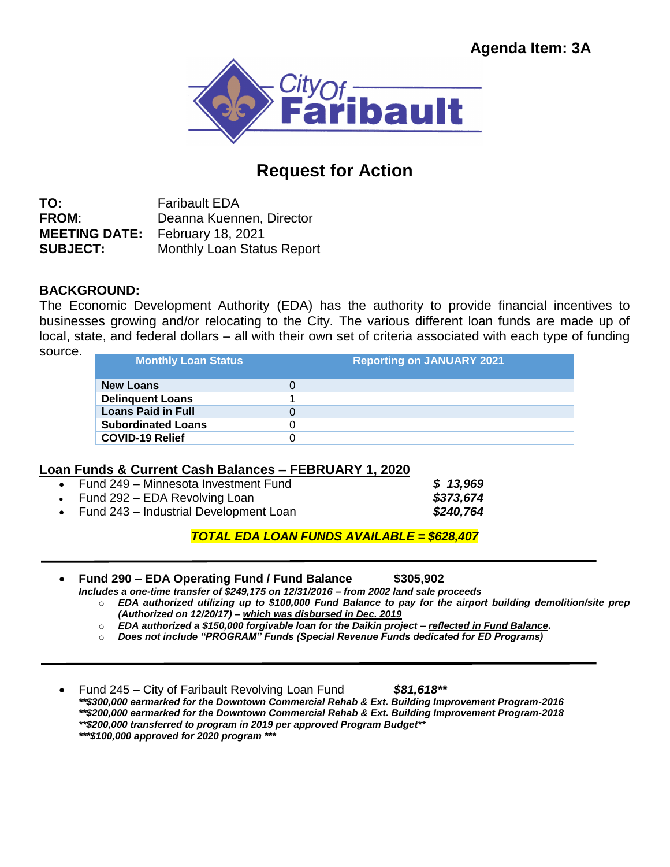

## **Request for Action**

**TO:** Faribault EDA **FROM**: Deanna Kuennen, Director **MEETING DATE:** February 18, 2021 **SUBJECT:** Monthly Loan Status Report

## **BACKGROUND:**

The Economic Development Authority (EDA) has the authority to provide financial incentives to businesses growing and/or relocating to the City. The various different loan funds are made up of local, state, and federal dollars – all with their own set of criteria associated with each type of funding source. **Monthly Loan Status Reporting on JANUARY 2021**

| , , , , , , | <b>Monthly Loan Status</b> |
|-------------|----------------------------|
|             | <b>New Loans</b>           |

## **Loan Funds & Current Cash Balances – FEBRUARY 1, 2020**

| • Fund 249 – Minnesota Investment Fund   | \$13,969  |
|------------------------------------------|-----------|
| • Fund 292 – EDA Revolving Loan          | \$373,674 |
| • Fund 243 – Industrial Development Loan | \$240,764 |

*TOTAL EDA LOAN FUNDS AVAILABLE = \$628,407*

 **Fund 290 – EDA Operating Fund / Fund Balance \$305,902** *Includes a one-time transfer of \$249,175 on 12/31/2016 – from 2002 land sale proceeds*

- o *EDA authorized utilizing up to \$100,000 Fund Balance to pay for the airport building demolition/site prep (Authorized on 12/20/17) – which was disbursed in Dec. 2019*
- o *EDA authorized a \$150,000 forgivable loan for the Daikin project – reflected in Fund Balance.*
- o *Does not include "PROGRAM" Funds (Special Revenue Funds dedicated for ED Programs)*

 Fund 245 – City of Faribault Revolving Loan Fund *\$81,618\*\* \*\*\$300,000 earmarked for the Downtown Commercial Rehab & Ext. Building Improvement Program-2016 \*\*\$200,000 earmarked for the Downtown Commercial Rehab & Ext. Building Improvement Program-2018 \*\*\$200,000 transferred to program in 2019 per approved Program Budget\*\* \*\*\*\$100,000 approved for 2020 program \*\*\**